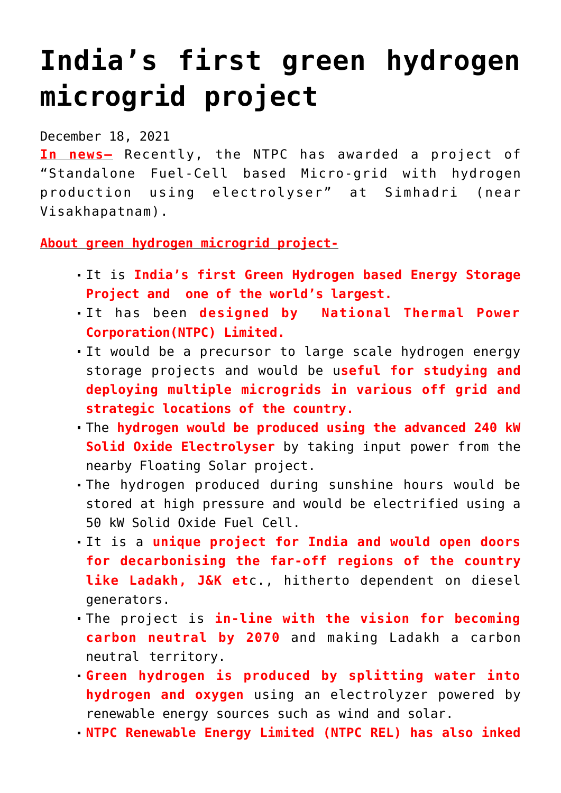## **[India's first green hydrogen](https://journalsofindia.com/indias-first-green-hydrogen-microgrid-project/) [microgrid project](https://journalsofindia.com/indias-first-green-hydrogen-microgrid-project/)**

December 18, 2021

**In news–** Recently, the NTPC has awarded a project of "Standalone Fuel-Cell based Micro-grid with hydrogen production using electrolyser" at Simhadri (near Visakhapatnam).

**About green hydrogen microgrid project-**

- It is **India's first Green Hydrogen based Energy Storage Project and one of the world's largest.**
- It has been **designed by National Thermal Power Corporation(NTPC) Limited.**
- It would be a precursor to large scale hydrogen energy storage projects and would be u**seful for studying and deploying multiple microgrids in various off grid and strategic locations of the country.**
- The **hydrogen would be produced using the advanced 240 kW Solid Oxide Electrolyser** by taking input power from the nearby Floating Solar project.
- The hydrogen produced during sunshine hours would be stored at high pressure and would be electrified using a 50 kW Solid Oxide Fuel Cell.
- It is a **unique project for India and would open doors for decarbonising the far-off regions of the country like Ladakh, J&K et**c., hitherto dependent on diesel generators.
- The project is **in-line with the vision for becoming carbon neutral by 2070** and making Ladakh a carbon neutral territory.
- **Green hydrogen is produced by splitting water into hydrogen and oxygen** using an electrolyzer powered by renewable energy sources such as wind and solar.
- **NTPC Renewable Energy Limited (NTPC REL) has also inked**